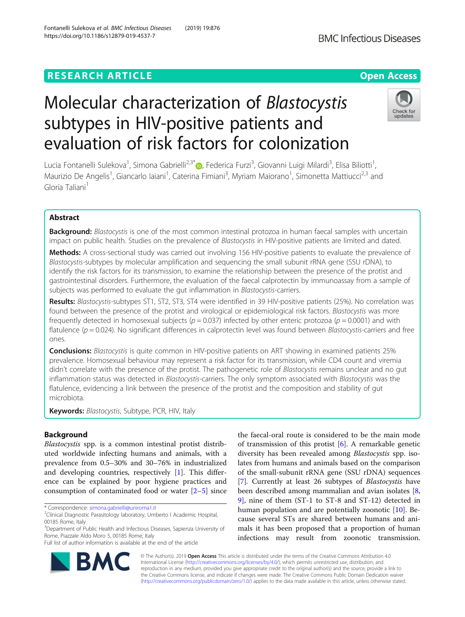## **RESEARCH ARTICLE Example 2014 12:30 The Contract of Contract ACCESS**

# Molecular characterization of Blastocystis subtypes in HIV-positive patients and evaluation of risk factors for colonization

Lucia Fontanelli Sulekova<sup>1</sup>, Simona Gabrielli<sup>2,3[\\*](http://orcid.org/0000-0002-1596-8036)</sup>®, Federica Furzi<sup>3</sup>, Giovanni Luigi Milardi<sup>3</sup>, Elisa Biliotti<sup>1</sup> , Maurizio De Angelis<sup>1</sup>, Giancarlo Iaiani<sup>1</sup>, Caterina Fimiani<sup>3</sup>, Myriam Maiorano<sup>1</sup>, Simonetta Mattiucci<sup>2,3</sup> and Gloria Taliani<sup>1</sup>

## Abstract

**Background:** Blastocystis is one of the most common intestinal protozoa in human faecal samples with uncertain impact on public health. Studies on the prevalence of Blastocystis in HIV-positive patients are limited and dated.

Methods: A cross-sectional study was carried out involving 156 HIV-positive patients to evaluate the prevalence of Blastocystis-subtypes by molecular amplification and sequencing the small subunit rRNA gene (SSU rDNA), to identify the risk factors for its transmission, to examine the relationship between the presence of the protist and gastrointestinal disorders. Furthermore, the evaluation of the faecal calprotectin by immunoassay from a sample of subjects was performed to evaluate the gut inflammation in Blastocystis-carriers.

Results: Blastocystis-subtypes ST1, ST2, ST3, ST4 were identified in 39 HIV-positive patients (25%). No correlation was found between the presence of the protist and virological or epidemiological risk factors. Blastocystis was more frequently detected in homosexual subjects ( $p = 0.037$ ) infected by other enteric protozoa ( $p = 0.0001$ ) and with flatulence  $(p = 0.024)$ . No significant differences in calprotectin level was found between *Blastocystis-carriers* and free ones.

**Conclusions:** Blastocystis is quite common in HIV-positive patients on ART showing in examined patients 25% prevalence. Homosexual behaviour may represent a risk factor for its transmission, while CD4 count and viremia didn't correlate with the presence of the protist. The pathogenetic role of Blastocystis remains unclear and no gut inflammation status was detected in Blastocystis-carriers. The only symptom associated with Blastocystis was the flatulence, evidencing a link between the presence of the protist and the composition and stability of gut microbiota.

Keywords: Blastocystis, Subtype, PCR, HIV, Italy

## Background

Blastocystis spp. is a common intestinal protist distributed worldwide infecting humans and animals, with a prevalence from 0.5–30% and 30–76% in industrialized and developing countries, respectively [[1\]](#page-5-0). This difference can be explained by poor hygiene practices and consumption of contaminated food or water  $[2-5]$  $[2-5]$  $[2-5]$  $[2-5]$  $[2-5]$  since

\* Correspondence: [simona.gabrielli@uniroma1.it](mailto:simona.gabrielli@uniroma1.it) <sup>2</sup>

Full list of author information is available at the end of the article

of transmission of this protist  $[6]$  $[6]$ . A remarkable genetic diversity has been revealed among Blastocystis spp. isolates from humans and animals based on the comparison of the small-subunit rRNA gene (SSU rDNA) sequences [[7\]](#page-5-0). Currently at least 26 subtypes of Blastocystis have been described among mammalian and avian isolates [\[8](#page-5-0), [9\]](#page-5-0), nine of them (ST-1 to ST-8 and ST-12) detected in human population and are potentially zoonotic [\[10](#page-5-0)]. Because several STs are shared between humans and animals it has been proposed that a proportion of human infections may result from zoonotic transmission.

the faecal-oral route is considered to be the main mode

© The Author(s). 2019 **Open Access** This article is distributed under the terms of the Creative Commons Attribution 4.0 International License [\(http://creativecommons.org/licenses/by/4.0/](http://creativecommons.org/licenses/by/4.0/)), which permits unrestricted use, distribution, and reproduction in any medium, provided you give appropriate credit to the original author(s) and the source, provide a link to the Creative Commons license, and indicate if changes were made. The Creative Commons Public Domain Dedication waiver [\(http://creativecommons.org/publicdomain/zero/1.0/](http://creativecommons.org/publicdomain/zero/1.0/)) applies to the data made available in this article, unless otherwise stated.





<sup>&</sup>lt;sup>2</sup>Clinical Diagnostic Parasitology laboratory, Umberto I Academic Hospital, 00185 Rome, Italy

<sup>&</sup>lt;sup>3</sup>Department of Public Health and Infectious Diseases, Sapienza University of Rome, Piazzale Aldo Moro 5, 00185 Rome, Italy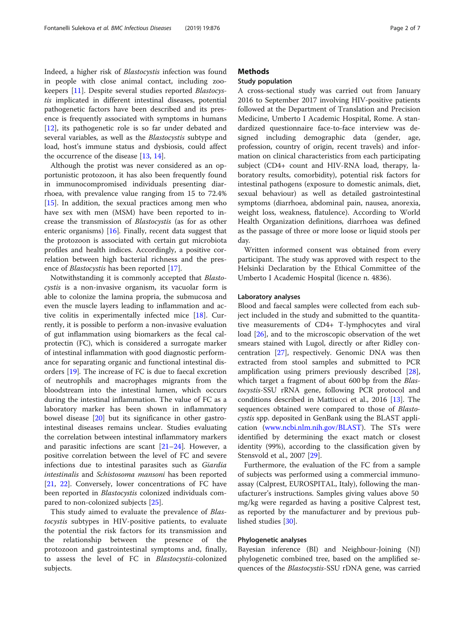Indeed, a higher risk of Blastocystis infection was found in people with close animal contact, including zookeepers [\[11](#page-5-0)]. Despite several studies reported Blastocystis implicated in different intestinal diseases, potential pathogenetic factors have been described and its presence is frequently associated with symptoms in humans [[12\]](#page-5-0), its pathogenetic role is so far under debated and several variables, as well as the *Blastocystis* subtype and load, host's immune status and dysbiosis, could affect the occurrence of the disease [\[13,](#page-5-0) [14\]](#page-5-0).

Although the protist was never considered as an opportunistic protozoon, it has also been frequently found in immunocompromised individuals presenting diarrhoea, with prevalence value ranging from 15 to 72.4% [[15\]](#page-5-0). In addition, the sexual practices among men who have sex with men (MSM) have been reported to increase the transmission of Blastocystis (as for as other enteric organisms) [[16\]](#page-5-0). Finally, recent data suggest that the protozoon is associated with certain gut microbiota profiles and health indices. Accordingly, a positive correlation between high bacterial richness and the presence of Blastocystis has been reported [\[17\]](#page-5-0).

Notwithstanding it is commonly accepted that Blastocystis is a non-invasive organism, its vacuolar form is able to colonize the lamina propria, the submucosa and even the muscle layers leading to inflammation and active colitis in experimentally infected mice [[18\]](#page-5-0). Currently, it is possible to perform a non-invasive evaluation of gut inflammation using biomarkers as the fecal calprotectin (FC), which is considered a surrogate marker of intestinal inflammation with good diagnostic performance for separating organic and functional intestinal disorders [[19\]](#page-6-0). The increase of FC is due to faecal excretion of neutrophils and macrophages migrants from the bloodstream into the intestinal lumen, which occurs during the intestinal inflammation. The value of FC as a laboratory marker has been shown in inflammatory bowel disease [[20](#page-6-0)] but its significance in other gastrointestinal diseases remains unclear. Studies evaluating the correlation between intestinal inflammatory markers and parasitic infections are scant [[21](#page-6-0)–[24](#page-6-0)]. However, a positive correlation between the level of FC and severe infections due to intestinal parasites such as Giardia intestinalis and Schistosoma mansoni has been reported [[21,](#page-6-0) [22\]](#page-6-0). Conversely, lower concentrations of FC have been reported in Blastocystis colonized individuals compared to non-colonized subjects [[25\]](#page-6-0).

This study aimed to evaluate the prevalence of Blastocystis subtypes in HIV-positive patients, to evaluate the potential the risk factors for its transmission and the relationship between the presence of the protozoon and gastrointestinal symptoms and, finally, to assess the level of FC in Blastocystis-colonized subjects.

## **Methods**

## Study population

A cross-sectional study was carried out from January 2016 to September 2017 involving HIV-positive patients followed at the Department of Translation and Precision Medicine, Umberto I Academic Hospital, Rome. A standardized questionnaire face-to-face interview was designed including demographic data (gender, age, profession, country of origin, recent travels) and information on clinical characteristics from each participating subject (CD4+ count and HIV-RNA load, therapy, laboratory results, comorbidity), potential risk factors for intestinal pathogens (exposure to domestic animals, diet, sexual behaviour) as well as detailed gastrointestinal symptoms (diarrhoea, abdominal pain, nausea, anorexia, weight loss, weakness, flatulence). According to World Health Organization definitions, diarrhoea was defined as the passage of three or more loose or liquid stools per day.

Written informed consent was obtained from every participant. The study was approved with respect to the Helsinki Declaration by the Ethical Committee of the Umberto I Academic Hospital (licence n. 4836).

#### Laboratory analyses

Blood and faecal samples were collected from each subject included in the study and submitted to the quantitative measurements of CD4+ T-lymphocytes and viral load [[26](#page-6-0)], and to the microscopic observation of the wet smears stained with Lugol, directly or after Ridley concentration [[27\]](#page-6-0), respectively. Genomic DNA was then extracted from stool samples and submitted to PCR amplification using primers previously described [\[28](#page-6-0)], which target a fragment of about 600 bp from the *Blas*tocystis-SSU rRNA gene, following PCR protocol and conditions described in Mattiucci et al., 2016 [\[13\]](#page-5-0). The sequences obtained were compared to those of Blastocystis spp. deposited in GenBank using the BLAST application [\(www.ncbi.nlm.nih.gov/BLAST](http://www.ncbi.nlm.nih.gov/BLAST)). The STs were identified by determining the exact match or closest identity (99%), according to the classification given by Stensvold et al., 2007 [\[29](#page-6-0)].

Furthermore, the evaluation of the FC from a sample of subjects was performed using a commercial immunoassay (Calprest, EUROSPITAL, Italy), following the manufacturer's instructions. Samples giving values above 50 mg/kg were regarded as having a positive Calprest test, as reported by the manufacturer and by previous pub-lished studies [[30\]](#page-6-0).

#### Phylogenetic analyses

Bayesian inference (BI) and Neighbour-Joining (NJ) phylogenetic combined tree, based on the amplified sequences of the Blastocystis-SSU rDNA gene, was carried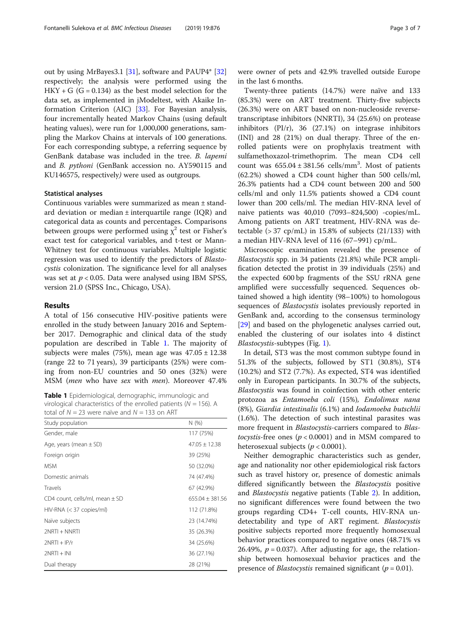out by using MrBayes3.1 [\[31](#page-6-0)], software and PAUP4\* [[32](#page-6-0)] respectively; the analysis were performed using the  $HKY + G$  (G = 0.134) as the best model selection for the data set, as implemented in jModeltest, with Akaike Information Criterion (AIC) [[33\]](#page-6-0). For Bayesian analysis, four incrementally heated Markov Chains (using default heating values), were run for 1,000,000 generations, sampling the Markov Chains at intervals of 100 generations. For each corresponding subtype, a referring sequence by GenBank database was included in the tree. B. lapemi and B. pythoni (GenBank accession no. AY590115 and KU146575, respectively) were used as outgroups.

#### Statistical analyses

Continuous variables were summarized as mean ± standard deviation or median ± interquartile range (IQR) and categorical data as counts and percentages. Comparisons between groups were performed using  $\chi^2$  test or Fisher's exact test for categorical variables, and t-test or Mann-Whitney test for continuous variables. Multiple logistic regression was used to identify the predictors of Blastocystis colonization. The significance level for all analyses was set at  $p < 0.05$ . Data were analysed using IBM SPSS, version 21.0 (SPSS Inc., Chicago, USA).

#### Results

A total of 156 consecutive HIV-positive patients were enrolled in the study between January 2016 and September 2017. Demographic and clinical data of the study population are described in Table 1. The majority of subjects were males (75%), mean age was  $47.05 \pm 12.38$ (range 22 to 71 years), 39 participants (25%) were coming from non-EU countries and 50 ones (32%) were MSM (men who have sex with men). Moreover 47.4%

Table 1 Epidemiological, demographic, immunologic and virological characteristics of the enrolled patients ( $N = 156$ ). A total of  $N = 23$  were naïve and  $N = 133$  on ART

| Study population                     | N(%)                |
|--------------------------------------|---------------------|
| Gender, male                         | 117 (75%)           |
| Age, years (mean $\pm$ SD)           | $47.05 \pm 12.38$   |
| Foreign origin                       | 39 (25%)            |
| <b>MSM</b>                           | 50 (32.0%)          |
| Domestic animals                     | 74 (47.4%)          |
| Travels                              | 67 (42.9%)          |
| CD4 count, cells/ml, mean $\pm$ SD   | $655.04 \pm 381.56$ |
| $HIV-RNA \ (< 37 \text{ copies/ml})$ | 112 (71.8%)         |
| Naïve subjects                       | 23 (14.74%)         |
| $2NRTI + NNRTI$                      | 35 (26.3%)          |
| $2NRTI + IP/r$                       | 34 (25.6%)          |
| $2NRTI + INI$                        | 36 (27.1%)          |
| Dual therapy                         | 28 (21%)            |

were owner of pets and 42.9% travelled outside Europe in the last 6 months.

Twenty-three patients (14.7%) were naïve and 133 (85.3%) were on ART treatment. Thirty-five subjects (26.3%) were on ART based on non-nucleoside reversetranscriptase inhibitors (NNRTI), 34 (25.6%) on protease inhibitors (PI/r), 36 (27.1%) on integrase inhibitors (INI) and 28 (21%) on dual therapy. Three of the enrolled patients were on prophylaxis treatment with sulfamethoxazol-trimethoprim. The mean CD4 cell count was  $655.04 \pm 381.56$  cells/mm<sup>3</sup>. Most of patients (62.2%) showed a CD4 count higher than 500 cells/ml, 26.3% patients had a CD4 count between 200 and 500 cells/ml and only 11.5% patients showed a CD4 count lower than 200 cells/ml. The median HIV-RNA level of naive patients was 40,010 (7093–824,500) -copies/mL. Among patients on ART treatment, HIV-RNA was detectable  $(>37$  cp/mL) in 15.8% of subjects  $(21/133)$  with a median HIV-RNA level of 116 (67–991) cp/mL.

Microscopic examination revealed the presence of Blastocystis spp. in 34 patients (21.8%) while PCR amplification detected the protist in 39 individuals (25%) and the expected 600 bp fragments of the SSU rRNA gene amplified were successfully sequenced. Sequences obtained showed a high identity (98–100%) to homologous sequences of Blastocystis isolates previously reported in GenBank and, according to the consensus terminology [[29\]](#page-6-0) and based on the phylogenetic analyses carried out, enabled the clustering of our isolates into 4 distinct Blastocystis-subtypes (Fig. [1](#page-3-0)).

In detail, ST3 was the most common subtype found in 51.3% of the subjects, followed by ST1 (30.8%), ST4 (10.2%) and ST2 (7.7%). As expected, ST4 was identified only in European participants. In 30.7% of the subjects, Blastocystis was found in coinfection with other enteric protozoa as Entamoeba coli (15%), Endolimax nana (8%), Giardia intestinalis (6.1%) and Iodamoeba butschlii (1.6%). The detection of such intestinal parasites was more frequent in *Blastocystis-carriers* compared to *Blas*tocystis-free ones ( $p < 0.0001$ ) and in MSM compared to heterosexual subjects ( $p < 0.0001$ ).

Neither demographic characteristics such as gender, age and nationality nor other epidemiological risk factors such as travel history or, presence of domestic animals differed significantly between the Blastocystis positive and Blastocystis negative patients (Table [2](#page-4-0)). In addition, no significant differences were found between the two groups regarding CD4+ T-cell counts, HIV-RNA undetectability and type of ART regiment. Blastocystis positive subjects reported more frequently homosexual behavior practices compared to negative ones (48.71% vs 26.49%,  $p = 0.037$ ). After adjusting for age, the relationship between homosexual behavior practices and the presence of *Blastocystis* remained significant ( $p = 0.01$ ).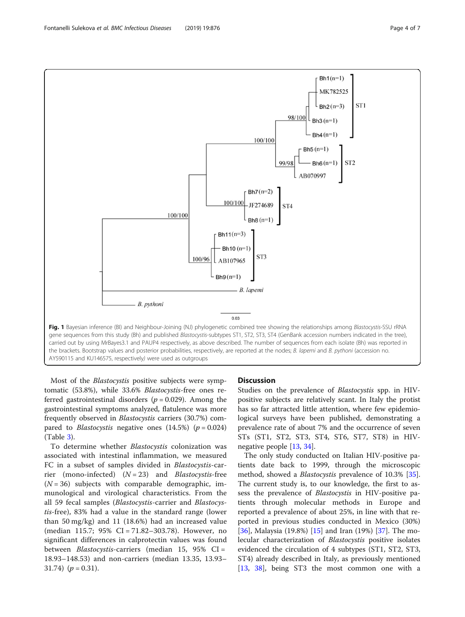<span id="page-3-0"></span>

the brackets. Bootstrap values and posterior probabilities, respectively, are reported at the nodes; B. lapemi and B. pythoni (accession no. AY590115 and KU146575, respectively) were used as outgroups

Most of the Blastocystis positive subjects were symptomatic (53.8%), while 33.6% Blastocystis-free ones referred gastrointestinal disorders ( $p = 0.029$ ). Among the gastrointestinal symptoms analyzed, flatulence was more frequently observed in Blastocystis carriers (30.7%) compared to *Blastocystis* negative ones  $(14.5\%)$  ( $p = 0.024$ ) (Table [3\)](#page-4-0).

To determine whether Blastocystis colonization was associated with intestinal inflammation, we measured FC in a subset of samples divided in Blastocystis-carrier (mono-infected)  $(N = 23)$  and *Blastocystis-free*  $(N = 36)$  subjects with comparable demographic, immunological and virological characteristics. From the all 59 fecal samples (Blastocystis-carrier and Blastocystis-free), 83% had a value in the standard range (lower than 50 mg/kg) and 11 (18.6%) had an increased value (median 115.7; 95% CI = 71.82–303.78). However, no significant differences in calprotectin values was found between Blastocystis-carriers (median 15, 95% CI = 18.93–148.53) and non-carriers (median 13.35, 13.93– 31.74)  $(p = 0.31)$ .

#### **Discussion**

Studies on the prevalence of Blastocystis spp. in HIVpositive subjects are relatively scant. In Italy the protist has so far attracted little attention, where few epidemiological surveys have been published, demonstrating a prevalence rate of about 7% and the occurrence of seven STs (ST1, ST2, ST3, ST4, ST6, ST7, ST8) in HIVnegative people [\[13](#page-5-0), [34\]](#page-6-0).

The only study conducted on Italian HIV-positive patients date back to 1999, through the microscopic method, showed a *Blastocystis* prevalence of 10.3% [\[35](#page-6-0)]. The current study is, to our knowledge, the first to assess the prevalence of Blastocystis in HIV-positive patients through molecular methods in Europe and reported a prevalence of about 25%, in line with that reported in previous studies conducted in Mexico (30%) [[36\]](#page-6-0), Malaysia (19.8%) [[15\]](#page-5-0) and Iran (19%) [\[37](#page-6-0)]. The molecular characterization of Blastocystis positive isolates evidenced the circulation of 4 subtypes (ST1, ST2, ST3, ST4) already described in Italy, as previously mentioned [[13,](#page-5-0) [38](#page-6-0)], being ST3 the most common one with a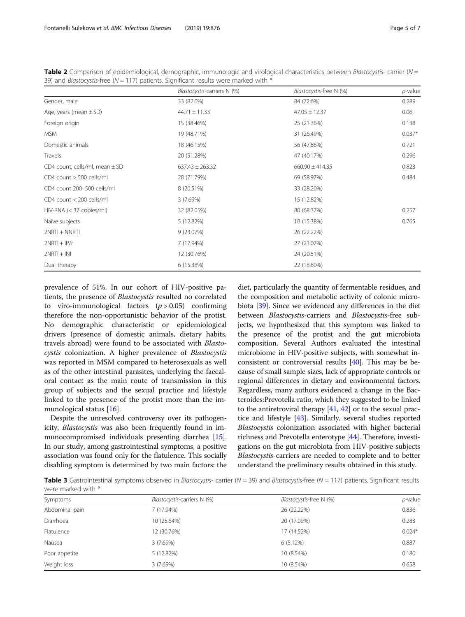|                                    | Blastocystis-carriers N (%) | Blastocystis-free N (%) | $p$ -value |
|------------------------------------|-----------------------------|-------------------------|------------|
| Gender, male                       | 33 (82.0%)                  | 84 (72.6%)              | 0.289      |
| Age, years (mean $\pm$ SD)         | $44.71 \pm 11.33$           | $47.05 \pm 12.37$       | 0.06       |
| Foreign origin                     | 15 (38.46%)                 | 25 (21.36%)             | 0.138      |
| <b>MSM</b>                         | 19 (48.71%)                 | 31 (26.49%)             | $0.037*$   |
| Domestic animals                   | 18 (46.15%)                 | 56 (47.86%)             | 0.721      |
| Travels                            | 20 (51.28%)                 | 47 (40.17%)             | 0.296      |
| CD4 count, cells/ml, mean $\pm$ SD | $637.43 \pm 263.32$         | $660.90 \pm 414.35$     | 0.823      |
| CD4 count > 500 cells/ml           | 28 (71.79%)                 | 69 (58.97%)             | 0.484      |
| CD4 count 200-500 cells/ml         | 8 (20.51%)                  | 33 (28.20%)             |            |
| CD4 count < 200 cells/ml           | 3(7.69%)                    | 15 (12.82%)             |            |
| $HIV-RNA$ (< 37 copies/ml)         | 32 (82.05%)                 | 80 (68.37%)             | 0.257      |
| Naïve subjects                     | 5 (12.82%)                  | 18 (15.38%)             | 0.765      |
| $2NRTI + NNRTI$                    | 9 (23.07%)                  | 26 (22.22%)             |            |
| $2NRTI + IP/r$                     | 7 (17.94%)                  | 27 (23.07%)             |            |
| $2NRTI + INI$                      | 12 (30.76%)                 | 24 (20.51%)             |            |
| Dual therapy                       | 6 (15.38%)                  | 22 (18.80%)             |            |

<span id="page-4-0"></span>Table 2 Comparison of epidemiological, demographic, immunologic and virological characteristics between Blastocystis- carrier (N = 39) and *Blastocystis-free* ( $N = 117$ ) patients. Significant results were marked with  $*$ 

prevalence of 51%. In our cohort of HIV-positive patients, the presence of Blastocystis resulted no correlated to viro-immunological factors  $(p > 0.05)$  confirming therefore the non-opportunistic behavior of the protist. No demographic characteristic or epidemiological drivers (presence of domestic animals, dietary habits, travels abroad) were found to be associated with Blastocystis colonization. A higher prevalence of Blastocystis was reported in MSM compared to heterosexuals as well as of the other intestinal parasites, underlying the faecaloral contact as the main route of transmission in this group of subjects and the sexual practice and lifestyle linked to the presence of the protist more than the immunological status [[16](#page-5-0)].

Despite the unresolved controversy over its pathogenicity, Blastocystis was also been frequently found in immunocompromised individuals presenting diarrhea [[15](#page-5-0)]. In our study, among gastrointestinal symptoms, a positive association was found only for the flatulence. This socially disabling symptom is determined by two main factors: the

diet, particularly the quantity of fermentable residues, and the composition and metabolic activity of colonic microbiota [\[39\]](#page-6-0). Since we evidenced any differences in the diet between Blastocystis-carriers and Blastocystis-free subjects, we hypothesized that this symptom was linked to the presence of the protist and the gut microbiota composition. Several Authors evaluated the intestinal microbiome in HIV-positive subjects, with somewhat inconsistent or controversial results [[40](#page-6-0)]. This may be because of small sample sizes, lack of appropriate controls or regional differences in dietary and environmental factors. Regardless, many authors evidenced a change in the Bacteroides:Prevotella ratio, which they suggested to be linked to the antiretroviral therapy  $[41, 42]$  $[41, 42]$  $[41, 42]$  $[41, 42]$  or to the sexual practice and lifestyle [[43\]](#page-6-0). Similarly, several studies reported Blastocystis colonization associated with higher bacterial richness and Prevotella enterotype [[44](#page-6-0)]. Therefore, investigations on the gut microbiota from HIV-positive subjects Blastocystis-carriers are needed to complete and to better understand the preliminary results obtained in this study.

Table 3 Gastrointestinal symptoms observed in Blastocystis- carrier ( $N = 39$ ) and Blastocystis-free ( $N = 117$ ) patients. Significant results were marked with \*

| Symptoms          | Blastocystis-carriers N (%) | Blastocystis-free N (%) | p-value  |
|-------------------|-----------------------------|-------------------------|----------|
| Abdominal pain    | 7 (17.94%)                  | 26 (22.22%)             | 0.836    |
| Diarrhoea         | 10 (25.64%)                 | 20 (17.09%)             | 0.283    |
| <b>Flatulence</b> | 12 (30.76%)                 | 17 (14.52%)             | $0.024*$ |
| Nausea            | 3(7.69%)                    | 6 (5.12%)               | 0.887    |
| Poor appetite     | 5 (12.82%)                  | 10 (8.54%)              | 0.180    |
| Weight loss       | 3(7.69%)                    | 10 (8.54%)              | 0.658    |
|                   |                             |                         |          |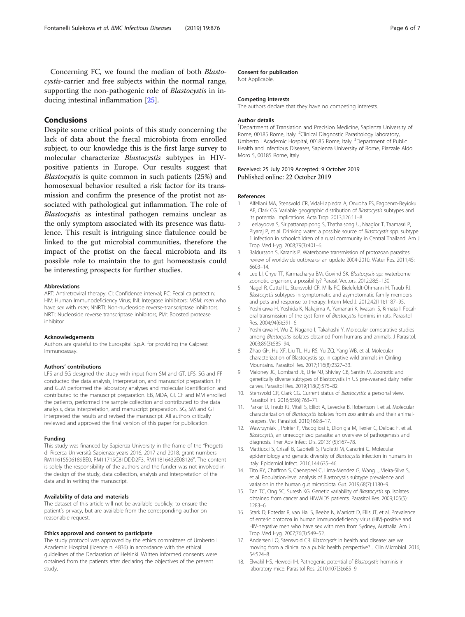<span id="page-5-0"></span>Concerning FC, we found the median of both Blastocystis-carrier and free subjects within the normal range, supporting the non-pathogenic role of *Blastocystis* in inducing intestinal inflammation [[25](#page-6-0)].

## Conclusions

Despite some critical points of this study concerning the lack of data about the faecal microbiota from enrolled subject, to our knowledge this is the first large survey to molecular characterize Blastocystis subtypes in HIVpositive patients in Europe. Our results suggest that Blastocystis is quite common in such patients (25%) and homosexual behavior resulted a risk factor for its transmission and confirm the presence of the protist not associated with pathological gut inflammation. The role of Blastocystis as intestinal pathogen remains unclear as the only symptom associated with its presence was flatulence. This result is intriguing since flatulence could be linked to the gut microbial communities, therefore the impact of the protist on the faecal microbiota and its possible role to maintain the to gut homeostasis could be interesting prospects for further studies.

#### Abbreviations

ART: Antiretroviral therapy; CI: Confidence interval; FC: Fecal calprotectin; HIV: Human Immunodeficiency Virus; INI: Integrase inhibitors; MSM: men who have sex with men; NNRTI: Non-nucleoside reverse-transcriptase inhibitors; NRTI: Nucleoside reverse transcriptase inhibitors; PI/r: Boosted protease inhibitor

#### Acknowledgements

Authors are grateful to the Eurospital S.p.A. for providing the Calprest immunoassay.

#### Authors' contributions

LFS and SG designed the study with input from SM and GT. LFS, SG and FF conducted the data analysis, interpretation, and manuscript preparation. FF and GLM performed the laboratory analyses and molecular identification and contributed to the manuscript preparation. EB, MDA, GI, CF and MM enrolled the patients, performed the sample collection and contributed to the data analysis, data interpretation, and manuscript preparation. SG, SM and GT interpreted the results and revised the manuscript. All authors critically reviewed and approved the final version of this paper for publication.

#### Funding

This study was financed by Sapienza University in the frame of the "Progetti di Ricerca Università Sapienza; years 2016, 2017 and 2018, grant numbers RM11615506189BE0, RM11715C81DDD2F3, RM11816432E08126". The content is solely the responsibility of the authors and the funder was not involved in the design of the study, data collection, analysis and interpretation of the data and in writing the manuscript.

#### Availability of data and materials

The dataset of this article will not be available publicly, to ensure the patient's privacy, but are available from the corresponding author on reasonable request.

#### Ethics approval and consent to participate

The study protocol was approved by the ethics committees of Umberto I Academic Hospital (licence n. 4836) in accordance with the ethical guidelines of the Declaration of Helsinki. Written informed consents were obtained from the patients after declaring the objectives of the present study

#### Consent for publication

Not Applicable.

#### Competing interests

The authors declare that they have no competing interests.

#### Author details

<sup>1</sup>Department of Translation and Precision Medicine, Sapienza University of Rome, 00185 Rome, Italy. <sup>2</sup>Clinical Diagnostic Parasitology laboratory Umberto I Academic Hospital, 00185 Rome, Italy. <sup>3</sup>Department of Public Health and Infectious Diseases, Sapienza University of Rome, Piazzale Aldo Moro 5, 00185 Rome, Italy.

#### Received: 25 July 2019 Accepted: 9 October 2019 Published online: 22 October 2019

#### References

- 1. Alfellani MA, Stensvold CR, Vidal-Lapiedra A, Onuoha ES, Fagbenro-Beyioku AF, Clark CG. Variable geographic distribution of Blastocystis subtypes and its potential implications. Acta Trop. 2013;126:11–8.
- 2. Leelayoova S, Siripattanapipong S, Thathaisong U, Naaglor T, Taamasri P, Piyaraj P, et al. Drinking water: a possible source of Blastocystis spp. subtype 1 infection in schoolchildren of a rural community in Central Thailand. Am J Trop Med Hyg. 2008;79(3):401–6.
- 3. Baldursson S, Karanis P. Waterborne transmission of protozoan parasites: review of worldwide outbreaks- an update 2004-2010. Water Res. 2011;45: 6603–14.
- 4. Lee LI, Chye TT, Karmacharya BM, Govind SK. Blastocystis sp.: waterborne zoonotic organism, a possibility? Parasit Vectors. 2012;28:5–130.
- 5. Nagel R, Cuttell L, Stensvold CR, Mills PC, Bielefeldt-Ohmann H, Traub RJ. Blastocystis subtypes in symptomatic and asymptomatic family members and pets and response to therapy. Intern Med J. 2012;42(11):1187–95.
- 6. Yoshikawa H, Yoshida K, Nakajima A, Yamanari K, Iwatani S, Kimata I. Fecaloral transmission of the cyst form of Blastocystis hominis in rats. Parasitol Res. 2004;94(6):391–6.
- 7. Yoshikawa H, Wu Z, Nagano I, Takahashi Y. Molecular comparative studies among Blastocystis isolates obtained from humans and animals. J Parasitol. 2003;89(3):585–94.
- 8. Zhao GH, Hu XF, Liu TL, Hu RS, Yu ZQ, Yang WB, et al. Molecular characterization of Blastocystis sp. in captive wild animals in Qinling Mountains. Parasitol Res. 2017;116(8):2327–33.
- 9. Maloney JG, Lombard JE, Urie NJ, Shivley CB, Santin M. Zoonotic and genetically diverse subtypes of Blastocystis in US pre-weaned dairy heifer calves. Parasitol Res. 2019;118(2):575–82.
- 10. Stensvold CR, Clark CG. Current status of Blastocystis: a personal view. Parasitol Int. 2016;65(6):763–71.
- 11. Parkar U, Traub RJ, Vitali S, Elliot A, Levecke B, Robertson I, et al. Molecular characterization of Blastocystis isolates from zoo animals and their animalkeepers. Vet Parasitol. 2010;169:8–17.
- 12. Wawrzyniak I, Poirier P, Viscogliosi E, Dionigia M, Texier C, Delbac F, et al. Blastocystis, an unrecognized parasite: an overview of pathogenesis and diagnosis. Ther Adv Infect Dis. 2013;1(5):167–78.
- 13. Mattiucci S, Crisafi B, Gabrielli S, Paoletti M, Cancrini G. Molecular epidemiology and genetic diversity of Blastocystis infection in humans in Italy. Epidemiol Infect. 2016;144:635–46.
- 14. Tito RY, Chaffron S, Caenepeel C, Lima-Mendez G, Wang J, Vieira-Silva S, et al. Population-level analysis of Blastocystis subtype prevalence and variation in the human gut microbiota. Gut. 2019;68(7):1180–9.
- 15. Tan TC, Ong SC, Suresh KG. Genetic variability of Blastocystis sp. isolates obtained from cancer and HIV/AIDS patients. Parasitol Res. 2009;105(5): 1283–6.
- 16. Stark D, Fotedar R, van Hal S, Beebe N, Marriott D, Ellis JT, et al. Prevalence of enteric protozoa in human immunodeficiency virus (HIV)-positive and HIV-negative men who have sex with men from Sydney, Australia. Am J Trop Med Hyg. 2007;76(3):549–52.
- 17. Andersen LO, Stensvold CR. Blastocystis in health and disease: are we moving from a clinical to a public health perspective? J Clin Microbiol. 2016; 54:524–8.
- 18. Elwakil HS, Hewedi IH. Pathogenic potential of Blastocystis hominis in laboratory mice. Parasitol Res. 2010;107(3):685–9.